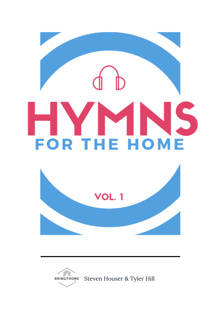

4



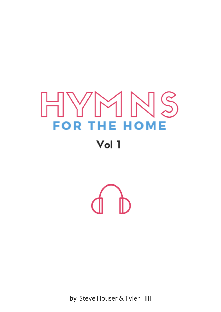# HYMNS FOR THE HOME Vol 1



by Steve Houser & Tyler Hill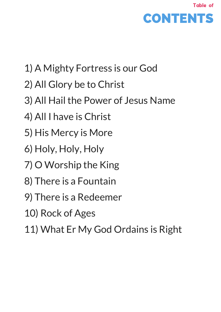Table of



# 1) A Mighty Fortress is our God 2) All Glory be to Christ 3) All Hail the Power of Jesus Name 4) All I have is Christ

- 5) His Mercy is More
- 6) Holy, Holy, Holy
- 7) O Worship the King
- 8) There is a Fountain
- 9) There is a Redeemer
- 10) Rock of Ages
- 11) What Er My God Ordains is Right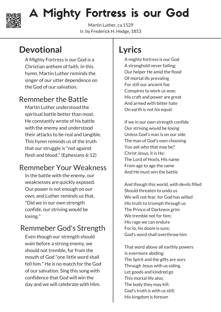

# A Mighty Fortress is our God

### **Lyrics**

A mighty fortress is our God A stronghold never failing; Our helper He amid the flood Of mortal ills prevaling For still our ancient foe Conspires to work us woe; His craft and power are great And armed with bitter hate On earth is not his equal

If we in our own strength confide Our striving would be losing Unless God's man is on our side The man of God's own choosing You ask who that may be? Christ Jesus, it is He; The Lord of Hosts, His name From age to age the same And He must win the battle

And though this world, with devils filled Should threaten to undo us We will not fear, for God has willed His truth to triumph through us The Prince of Darkness grim We tremble not for him; His rage we can endure For lo, his doom is sure; God's word shall overthrow him

That word above all earthly powers Is evermore abiding; The Spirit and the gifts are ours Through Jesus with us siding Let goods and kindred go This mortal life also; The body they may kill; God's truth is with us still; His kingdom is forever

### **Devotional**

A Mighty Fortress is our God is a Christian anthem of faith. In this hymn, Martin Luther reminds the singer of our utter dependence on the God of our salvation.

Martin Luther understood the spiritual battle better than most. He constantly wrote of his battle with the enemy and understood their attacks to be real and tangible. This hymn reminds us of the truth that our struggle is "not against flesh and blood."(Ephesians 6:12)

In the battle with the enemy, our weaknesses are quickly exposed. Our power is not enough on our own, and Luther reminds us that, "Did we in our own strength confide, our striving would be losing."

Even though our strength should wain before a strong enemy, we should not tremble, for from the mouth of God "one little word shall fell him." He is no match for the God of our salvation. Sing this song with confidence that God will win the day and we will celebrate with Him.

#### Remmeber the Battle

#### Remmeber Your Weakness

#### Remmeber God's Strength

Martin Luther, ca.1529 tr. by Frederick H. Hedge, 1853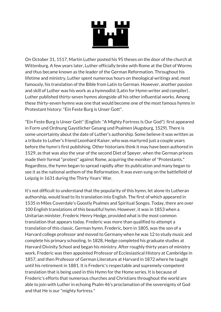

On October 31, 1517, Martin Luther posted his 95 theses on the door of the church at Wittenburg. A few years later, Luther officially broke with Rome at the Diet of Worms and thus became known as the leader of the German Reformation. Throughout his lifetime and ministry, Luther spent numerous hours on theological writings and, most famously, his translation of the Bible from Latin to German. However, another passion and skill of Luther was his work as a hymnodist (Latin for Hymn writer and compiler) . Luther published thirty-seven hymns alongside all his other influential works. Among these thirty-seven hymns was one that would become one of the most famous hymns in Protestant history:"Ein Feste Burg is Unser Gott".

"Ein Feste Burg is Unser Gott"(English:"A Mighty Fortress Is Our God") first appeared in Form und Ordnung Gaystlicher Gesang und Psalmen (Augsburg, 1529). There is some uncertainty about the date of Luther's authorship. Some believe it was written as a tribute to Luther's friend Leonhard Kaiser, who was martyred just a couple years before the hymn's first publishing. Other historians think it may have been authored in 1529, as that was also the year of the second Diet of Speyer, when the German princes made their formal "protest" against Rome, acquiring the moniker of "Protestants." Regardless, the hymn began to spread rapidly after its publication and many began to see it as the national anthem of the Reformation. It was even sung on the battlefield of Leipzig in 1631 during the Thirty Years' War.

It's not difficult to understand that the popularity of this hymn, let alone its Lutheran authorship, would lead to its translation into English. The first of which appeared in 1535 in Miles Coverdale's Goostly Psalmes and Spiritual Songes. Today, there are over 100 English translations of this beautiful hymn. However, it was in 1853 when a Unitarian minister, Frederic Henry Hedge, provided what is the most common translation that appears today. Frederic was more than qualified to attempt a translation of this classic, German hymn. Frederic, born in 1805, was the son of a Harvard college professor and moved to Germany when he was 12 to study music and complete his primary schooling. In 1828, Hedge completed his graduate studies at Harvard Divinity School and began his ministry. After roughly thirty years of ministry work, Frederic was then appointed Professor of Ecclesiastical History at Cambridge in 1857, and then Professor of German Literature at Harvard in 1872 where he taught until his retirement in 1881. It is Frederic's respectable and supremely-competent translation that is being used in this Hymn for the Home series. It is because of Frederic's efforts that numerous churches and Christians throughout the world are able to join with Luther in echoing Psalm 46's proclamation of the sovereignty of God and that He is our "mighty fortress."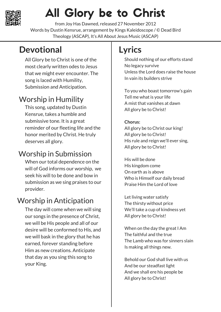

# All Glory be to Christ

# **Lyrics**

Should nothing of our efforts stand No legacy survive Unless the Lord does raise the house In vain its builders strive

To you who boast tomorrow's gain Tell me what is your life A mist that vanishes at dawn All glory be to Christ!

#### **Chorus:**

All glory be to Christ our king! All glory be to Christ! His rule and reign we'll ever sing, All glory be to Christ!

His will be done His kingdom come On earth as is above Who is Himself our daily bread Praise Him the Lord of love

Let living water satisfy The thirsty without price We'll take a cup of kindness yet All glory be to Christ!

When on the day the great I Am The faithful and the true The Lamb who was for sinners slain Is making all things new.

Behold our God shall live with us And be our steadfast light And we shall ere his people be All glory be to Christ!

### **Devotional**

All Glory be to Christ is one of the most clearly written odes to Jesus that we might ever encounter. The song is laced with Humility, Submission and Anticipation.

This song, updated by Dustin Kensrue, takes a humble and submissive tone. It is a great reminder of our fleeting life and the honor merited by Christ. He truly deserves all glory.

When our total dependence on the

will of God informs our worship, we seek his will to be done and bow in submission as we sing praises to our provider.

The day will come when we will sing our songs in the presence of Christ, we will be His people and all of our desire will be conformed to His, and we will bask in the glory that he has earned, forever standing before Him as new creations. Anticipate that day as you sing this song to your King.

#### Worship in Humility

#### Worship in Submission

#### Worship in Anticipation

from Joy Has Dawned, released 27 November 2012 Words by Dustin Kensrue, arrangement by Kings Kaleidoscope / © Dead Bird Theology (ASCAP), It's All About Jesus Music (ASCAP)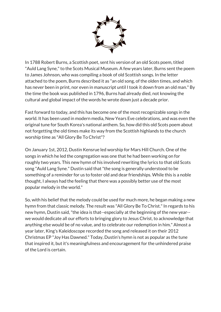

In 1788 Robert Burns, a Scottish poet, sent his version of an old Scots poem, titled "Auld Lang Syne," to the Scots Musical Museum. A few years later, Burns sent the poem to James Johnson, who was compiling a book of old Scottish songs. In the letter attached to the poem, Burns described it as "an old song, of the olden times, and which has never been in print, nor even in manuscript until I took it down from an old man." By the time the book was published in 1796, Burns had already died, not knowing the cultural and global impact of the words he wrote down just a decade prior.

song "Auld Lang Syne." Dustin said that "the song is generally understood to be something of a reminder for us to foster old and dear friendships. While this is a noble thought, I always had the feeling that there was a possibly better use of the most popular melody in the world."

Fast forward to today, and this has become one of the most recognizable songs in the world. It has been used in modern media, New Years Eve celebrations, and was even the original tune for South Korea's national anthem. So, how did this old Scots poem about not forgetting the old times make its way from the Scottish highlands to the church worship time as "All Glory Be To Christ"?

On January 1st, 2012, Dustin Kensrue led worship for Mars Hill Church. One of the songs in which he led the congregation was one that he had been working on for roughly two years. This new hymn of his involved rewriting the lyrics to that old Scots

So, with his belief that the melody could be used for much more, he began making a new hymn from that classic melody. The result was "All Glory Be To Christ." In regards to his new hymn, Dustin said, "the idea is that--especially at the beginning of the new year- we would dedicate all our efforts to bringing glory to Jesus Christ, to acknowledge that anything else would be of no value, and to celebrate our redemption in him." Almost a year later, King's Kaleidoscope recorded the song and released it on their 2012 Christmas EP "Joy Has Dawned." Today, Dustin's hymn is not as popular as the tune that inspired it, but it's meaningfulness and encouragement for the unhindered praise of the Lord is certain.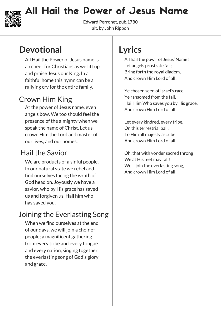

# All Hail the Power of Jesus Name

# **Lyrics**

All hail the pow'r of Jesus' Name! Let angels prostrate fall; Bring forth the royal diadem, And crown Him Lord of all!

Ye chosen seed of Israel's race, Ye ransomed from the fall, Hail Him Who saves you by His grace, And crown Him Lord of all!

Let every kindred, every tribe, On this terrestrial ball, To Him all majesty ascribe, And crown Him Lord of all!

Oh, that with yonder sacred throng We at His feet may fall! We'll join the everlasting song, And crown Him Lord of all!

### **Devotional**

All Hail the Power of Jesus name is an cheer for Christians as we lift up and praise Jesus our King. In a faithful home this hymn can be a rallying cry for the entire family.

At the power of Jesus name, even angels bow. We too should feel the presence of the almighty when we speak the name of Christ. Let us crown Him the Lord and master of our lives, and our homes.

In our natural state we rebel and find ourselves facing the wrath of God head on. Joyously we have a savior, who by His grace has saved us and forgiven us. Hail him who has saved you.

When we find ourselves at the end of our days, we will join a choir of people; a magnificent gathering from every tribe and every tongue and every nation, singing together the everlasting song of God's glory and grace.

#### Crown Him King

#### Hail the Savior

We are products of a sinful people.

#### Joining the Everlasting Song

Edward Perronet, pub.1780 alt. by John Rippon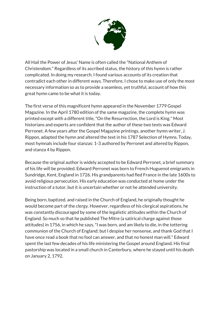

All Hail the Power of Jesus' Name is often called the "National Anthem of Christendom." Regardless of its ascribed status, the history of this hymn is rather complicated. In doing my research, I found various accounts of its creation that contradict each other in different ways. Therefore, I chose to make use of only the most necessary information so as to provide a seamless, yet truthful, account of how this great hymn came to be what it is today.

The first verse of this magnificent hymn appeared in the November 1779 Gospel Magazine. In the April 1780 edition of the same magazine, the complete hymn was printed except with a different title, "On the Resurrection, the Lord is King." Most historians and experts are confident that the author of these two texts was Edward Perronet. A few years after the Gospel Magazine printings, another hymn writer, J. Rippon, adapted the hymn and altered the text in his 1787 Selection of Hymns. Today, most hymnals include four stanzas: 1-3 authored by Perronet and altered by Rippon, and stanza 4 by Rippon.

Because the original author is widely accepted to be Edward Perronet, a brief summary

of his life will be provided. Edward Perronet was born to French Huguenot emigrants in Sundridge, Kent, England in 1726. His grandparents had fled France in the late 1600s to avoid religious persecution. His early education was conducted at home under the instruction of a tutor, but it is uncertain whether or not he attended university.

Being born, baptized, and raised in the Church of England, he originally thought he would become part of the clergy. However, regardless of his clergical aspirations, he was constantly discouraged by some of the legalistic attitudes within the Church of England. So much so that he published The Mitre (a satirical charge against those attitudes) in 1756, in which he says, "I was born, and am likely to die, in the tottering communion of the Church of England; but I despise her nonsense, and thank God that I have once read a book that no fool can answer, and that no honest man will." Edward spent the last few decades of his life ministering the Gospel around England. His final pastorship was located in a small church in Canterbury, where he stayed until his death on January 2, 1792.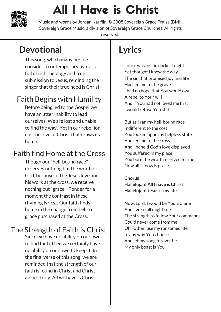

# All I Have is Christ

# **Lyrics**

I once was lost in darkest night Yet thought I knew the way The sin that promised joy and life Had led me to the grave I had no hope that You would own A rebel to Your will And if You had not loved me first I would refuse You still

But as I ran my hell-bound race Indifferent to the cost You looked upon my helpless state And led me to the cross And I beheld God's love displayed You suffered in my place You bore the wrath reserved for me Now all I know is grace

#### **Chorus Hallelujah! All I have is Christ Hallelujah! Jesus is my life**

Now, Lord, I would be Yours alone And live so all might see The strength to follow Your commands Could never come from me Oh Father, use my ransomed life In any way You choose And let my song forever be My only boast is You

# **Devotional**

This song, which many people consider a contemporary hymn is full of rich theology and true submission to Jesus, reminding the singer that their true need is Christ.

Before being led to the Gospel we have an utter inability to lead ourselves. We are lost and unable to find the way. Yet in our rebellion it is the love of Christ that draws us home.

Though our "hell-bound race"

deserves nothing but the wrath of God, because of the Jesus love and his work at the cross, we receive nothing but"grace". Ponder for a moment the contrast in these rhyming lyrics... Our faith finds home in the change from hell to grace purchased at the Cross.

Since we have no ability on our own to find faith, then we certainly have no ability on our own to keep it. In the final verse of this song, we are reminded that the strength of our faith is found in Christ and Christ alone. Truly, All we have is Christ.

#### Faith Begins with Humility

#### Faith find Home at the Cross

#### The Strength of Faith is Christ

Music and words by Jordan Kauflin. © 2008 Sovereign Grace Praise (BMI). Sovereign Grace Music, a division of Sovereign Grace Churches. All rights reserved.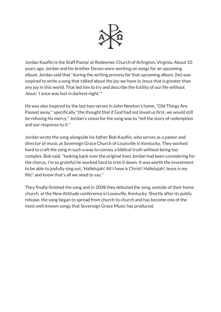

Jordan Kauflin is the Staff Pastor at Redeemer Church of Arlington, Virginia. About 10 years ago, Jordan and his brother Devon were working on songs for an upcoming album. Jordan said that "during the writing process for that upcoming album, [he] was inspired to write a song that talked about the joy we have in Jesus that is greater than any joy in this world. That led him to try and describe the futility of our life without Jesus: 'I once was lost in darkest night.'"

He was also inspired by the last two verses in John Newton's hymn, "Old Things Are Passed away, " specifically "the thought that if God had not loved us first, we would still be refusing his mercy." Jordan's vision for the song was to "tell the story of redemption and our response to it."

to be able to joyfully sing out, 'Hallelujah! All I have is Christ! Hallelujah! Jesus is my life!' and know that's all we need to say."

Jordan wrote the song alongside his father Bob Kauflin, who serves as a pastor and director of music at Sovereign Grace Church of Louisville in Kentucky. They worked hard to craft the song in such a way to convey a biblical truth without being too complex. Bob said, "looking back over the original lines Jordan had been considering for the chorus, I'm so grateful he worked hard to trim it down. It was worth the investment

They finally finished the song and in 2008 they debuted the song, outside of their home church, at the New Attitude conference in Louisville, Kentucky. Shortly after its public release, the song began to spread from church to church and has become one of the most well-known songs that Sovereign Grace Music has produced.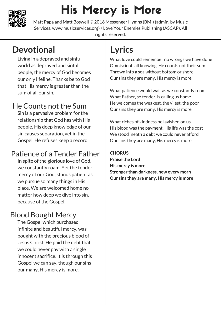

# His Mercy is More

# **Lyrics**

What love could remember no wrongs we have done Omniscient, all knowing, He counts not their sum Thrown into a sea without bottom or shore Our sins they are many, His mercy is more

What patience would wait as we constantly roam What Father, so tender, is calling us home He welcomes the weakest, the vilest, the poor Our sins they are many, His mercy is more

What riches of kindness he lavished on us His blood was the payment, His life was the cost We stood 'neath a debt we could never afford Our sins they are many, His mercy is more

**CHORUS Praise the Lord His mercy is more Stronger than darkness, new every morn Our sins they are many, His mercy is more**

# **Devotional**

Living in a depraved and sinful world as depraved and sinful people, the mercy of God becomes our only lifeline. Thanks be to God that His mercy is greater than the sum of all our sin.

Sin is a pervasive problem for the relationship that God has with His people. His deep knowledge of our sin causes separation, yet in the Gospel, He refuses keep a record.

In spite of the glorious love of God, we constantly roam. Yet the tender mercy of our God, stands patient as we pursue so many things in His place. We are welcomed home no matter how deep we dive into sin, because of the Gospel.

The Gospel which purchased infinite and beautiful mercy, was bought with the precious blood of Jesus Christ. He paid the debt that we could never pay with a single innocent sacrifice. It is through this Gospel we can say, though our sins our many, His mercy is more.

#### He Counts not the Sum

#### Patience of a Tender Father

#### Blood Bought Mercy

Matt Papa and Matt Boswell © 2016 Messenger Hymns (BMI) (admin. by Music Services, www.musicservices.org) / Love Your Enemies Publishing (ASCAP). All rights reserved.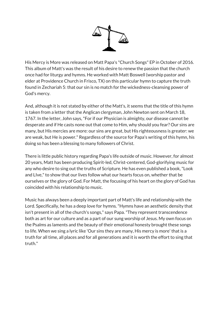

His Mercy is More was released on Matt Papa's "Church Songs" EP in October of 2016. This album of Matt's was the result of his desire to renew the passion that the church once had for liturgy and hymns. He worked with Matt Boswell (worship pastor and elder at Providence Church in Frisco, TX) on this particular hymn to capture the truth found in Zechariah 5: that our sin is no match for the wickedness-cleansing power of God's mercy.

And, although it is not stated by either of the Matt's, it seems that the title of this hymn is taken from a letter that the Anglican clergyman, John Newton sent on March 18, 1767. In the letter, John says, "For if our Physician is almighty, our disease cannot be desperate and if He casts none out that come to Him, why should you fear? Our sins are many, but His mercies are more: our sins are great, but His righteousness is greater: we are weak, but He is power." Regardless of the source for Papa's writing of this hymn, his doing so has been a blessing to many followers of Christ.

There is little public history regarding Papa's life outside of music. However, for almost 20 years, Matt has been producing Spirit-led, Christ-centered, God-glorifying music for

any who desire to sing out the truths of Scripture. He has even published a book, "Look and LIve, "to show that our lives follow what our hearts focus on, whether that be ourselves or the glory of God. For Matt, the focusing of his heart on the glory of God has coincided with his relationship to music.

Music has always been a deeply important part of Matt's life and relationship with the Lord. Specifically, he has a deep love for hymns."Hymns have an aesthetic density that isn't present in all of the church's songs, " says Papa."They represent transcendence both as art for our culture and as a part of our sung worship of Jesus. My own focus on the Psalms as laments and the beauty of their emotional honesty brought these songs to life. When we sing a lyric like 'Our sins they are many, His mercy is more' that is a truth for all time, all places and for all generations and it is worth the effort to sing that truth."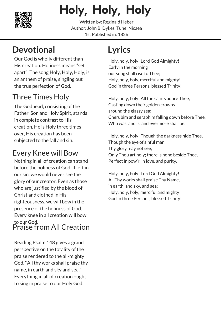# Holy, Holy, Holy

# **Lyrics**

Holy, holy, holy! Lord God Almighty! Early in the morning our song shall rise to Thee; Holy, holy, holy, merciful and mighty! God in three Persons, blessed Trinity!

Holy, holy, holy! All the saints adore Thee, Casting down their golden crowns around the glassy sea; Cherubim and seraphim falling down before Thee, Who was, and is, and evermore shall be.

Holy, holy, holy! Though the darkness hide Thee, Though the eye of sinful man Thy glory may not see; Only Thou art holy; there is none beside Thee, Perfect in pow'r, in love, and purity.

Holy, holy, holy! Lord God Almighty! All Thy works shall praise Thy Name, in earth, and sky, and sea; Holy, holy, holy; merciful and mighty! God in three Persons, blessed Trinity!

# **Devotional**

#### Three Times Holy

#### Every Knee will Bow

Written by: Reginald Heber Author: John B. Dykes Tune: Nicaea 1st Published in: 1826

Our God is wholly different than His creation. Holiness means "set apart". The song Holy, Holy, Holy, is an anthem of praise, singling out the true perfection of God.

The Godhead, consisting of the Father, Son and Holy Spirit, stands in complete contrast to His creation. He is Holy three times over, His creation has been subjected to the fall and sin.

Praise from All Creation Nothing in all of creation can stand before the holiness of God. If left in our sin, we would never see the glory of our creator. Even as those who are justified by the blood of Christ and clothed in His righteousness, we will bow in the presence of the holiness of God. Every knee in all creation will bow to our God.

Reading Psalm 148 gives a grand perspective on the totality of the praise rendered to the all-mighty God. "All thy works shall praise thy name, in earth and sky and sea." Everything in all of creation ought to sing in praise to our Holy God.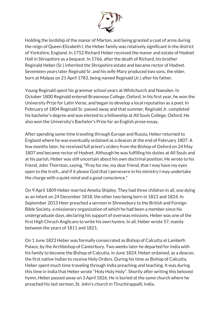

Holding the lordship of the manor of Marton, and being granted a coat of arms during the reign of Queen Elizabeth I, the Heber family was relatively significant in the district of Yorkshire, England. In 1752 Richard Heber received the manor and estate of Hodnet Hall in Shropshire as a bequest. In 1766, after the death of Richard, his brother Reginald Heber (Sr.) inherited the Shropshire estate and became rector of Hodnet. Seventeen years later Reginald Sr. and his wife Mary produced two sons, the elder, born at Malpas on 21 April 1783, being named Reginald (Jr.) after his father.

Young Reginald spent his grammar school years at Whitchurch and Naesden. In October 1800 Reginald entered Brasenose College, Oxford. In his first year, he won the University Prize for Latin Verse, and began to develop a local reputation as a poet. In February of 1804 Reginald Sr. passed away and that summer, Reginald Jr. completed his bachelor's degree and was elected to a fellowship at All Souls College, Oxford. He also won the University's Bachelor's Prize for an English prose essay.

After spending some time traveling through Europe and Russia, Heber returned to England where he was eventually ordained as a deacon at the end of February 1807. A few months later, he received full priest's orders from the Bishop of Oxford on 24 May 1807 and became rector of Hodnet. Although he was fulfilling his duties at All Souls and at his parish, Heber was still uncertain about his own doctrinal position. He wrote to his friend, John Thornton, saying, "Pray for me, my dear friend, that I may have my eyes open to the truth...and if it please God that I persevere in his ministry I may undertake the charge with a quiet mind and a good conscience."

On 9 April 1809 Heber married Amelia Shipley. They had three children in all, one dying as an infant on 24 December 1818, the other two being born in 1821 and 1824. In September 2013 Heer preached a sermon in Shrewsbury to the British and Foreign Bible Society, a missionary organization of which he had been a member since his undergraduate days, declaring his support of overseas missions. Heber was one of the first High Chruch Anglicans to write his own hymns. In all, Heber wrote 57, mainly between the years of 1811 and 1821.

On 1 June 1823 Heber was formally consecrated as Bishop of Calcutta at Lambeth Palace, by the Archbishop of Canterbury. Two weeks later he departed for India with his family to become the Bishop of Calcutta. in June 1824, Heber ordained, as a deacon, the first native Indian to receive Holy Orders. During his time as Bishop of Calcutta, Heber spent much time traveling through India preaching and teaching. It was during this time in India that Heber wrote "Holy Holy Holy". Shortly after writing this beloved hymn, Heber passed away on 3 April 1826. He is buried at the same church where he preached his last sermon, St. John's church in Tiruchirappalli, India.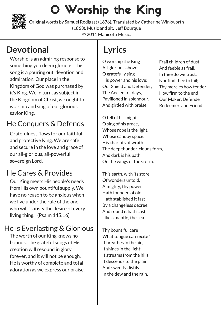# O Worship the King



# **Lyrics**

O worship the King All glorious above; O gratefully sing His power and his love: Our Shield and Defender, The Ancient of days, Pavilioned in splendour, And girded with praise.

O tell of his might, O sing of his grace, Whose robe is the light, Whose canopy space. His chariots of wrath The deep thunder-clouds form, And dark is his path On the wings of the storm.

This earth, with its store Of wonders untold, Almighty, thy power Hath founded of old: Hath stablished it fast By a changeless decree, And round it hath cast, Like a mantle, the sea.

Thy bountiful care What tongue can recite? It breathes in the air, It shines in the light; It streams from the hills, It descends to the plain, And sweetly distils In the dew and the rain.

## **Devotional**

Worship is an admiring response to something you deem glorious. This song is a pouring out devotion and admiration. Our place in the Kingdom of God was purchased by it's King. We in turn, as subject in the Kingdom of Christ, we ought to worship and sing of our glorious savior King.

Gratefulness flows for our faithful and protective King. We are safe and secure in the love and grace of our all-glorious, all-powerful sovereign Lord.

Our King meets His people's needs from His own bountiful supply. We have no reason to be anxious when we live under the rule of the one who will "satisfy the desire of every living thing."(Psalm 145:16)

The worth of our King knows no bounds. The grateful songs of His creation will resound in glory forever, and it will not be enough. He is worthy of complete and total adoration as we express our praise.

#### He Conquers & Defends

#### He Cares & Provides

#### He is Everlasting & Glorious

Original words by Samuel Rodigast (1676). Translated by Catherine Winkworth

(1863). Music and alt. Jeff Bourque

© 2011 Manicotti Music.

Frail children of dust, And feeble as frail, In thee do we trust, Nor find thee to fail; Thy mercies how tender! How firm to the end! Our Maker, Defender, Redeemer, and Friend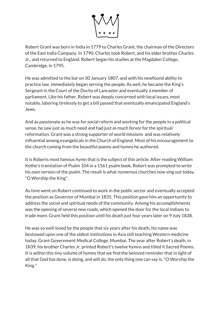

Robert Grant was born in India in 1779 to Charles Grant, the chairman of the Directors of the East India Company. In 1790, Charles took Robert, and his elder brother Charles Jr., and returned to England. Robert began his studies at the Magdalen College, Cambridge, in 1795.

He was admitted to the bar on 30 January 1807, and with his newfound ability to practice law, immediately began serving the people. As well, he became the King's Sergeant in the Court of the Duchy of Lancaster and eventually a member of parliament. Like his father, Robert was deeply concerned with local issues, most notably, laboring tirelessly to get a bill passed that eventually emancipated England's Jews.

And as passionate as he was for social reform and working for the people in a political sense, he saw just as much need and had just as much fervor for the spiritual reformation. Grant was a strong supporter of world missions and was relatively influential among evangelicals in the Church of England. Most of his encouragement to the church coming from the beautiful poems and hymns he authored.

It is Roberts most famous hymn that is the subject of this article. After reading William Kethe's translation of Psalm 104 in a 1561 psalm book, Robert was prompted to write his own version of the psalm. The result is what numerous churches now sing out today, "O Worship the King".

As time went on Robert continued to work in the public sector and eventually accepted the position as Governor of Mumbai in 1835. This position gave him an opportunity to address the social and spiritual needs of the community. Among his accomplishments was the opening of several new roads, which opened the door for the local Indians to trade more. Grant held this position until his death just four years later on 9 July 1838.

He was so well-loved by the people that six years after his death, his name was bestowed upon one of the oldest institutions in Asia still teaching Western medicine today, Grant Government Medical College, Mumbai. The year after Robert's death, in 1839, his brother Charles Jr. printed Robert's twelve hymns and titled it Sacred Poems. It is within this tiny volume of hymns that we find the beloved reminder that in light of all that God has done, is doing, and will do, the only thing one can say is, "O Worship the King."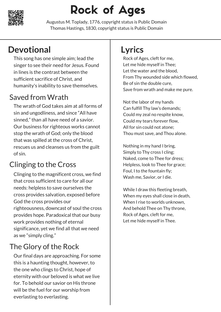

# Rock of Ages

### **Lyrics**

Rock of Ages, cleft for me, Let me hide myself in Thee; Let the water and the blood, From Thy wounded side which flowed, Be of sin the double cure, Save from wrath and make me pure.

Not the labor of my hands Can fulfill Thy law's demands; Could my zeal no respite know, Could my tears forever flow, All for sin could not atone; Thou must save, and Thou alone.

Nothing in my hand I bring, Simply to Thy cross I cling; Naked, come to Thee for dress; Helpless, look to Thee for grace; Foul, I to the fountain fly; Wash me, Savior, or I die.

While I draw this fleeting breath, When my eyes shall close in death, When I rise to worlds unknown, And behold Thee on Thy throne, Rock of Ages, cleft for me, Let me hide myself in Thee.

### **Devotional**

This song has one simple aim; lead the singer to see their need for Jesus. Found in lines is the contrast between the sufficient sacrifice of Christ, and humanity's inability to save themselves.

The wrath of God takes aim at all forms of sin and ungodliness, and since "All have sinned, " than all have need of a savior. Our business for righteous works cannot stop the wrath of God; only the blood that was spilled at the cross of Christ, rescues us and cleanses us from the guilt of sin.

Clinging to the magnificent cross, we find that cross sufficient to care for all our needs: helpless to save ourselves the cross provides salvation, exposed before God the cross provides our righteousness, downcast of soul the cross provides hope. Paradoxical that our busy work provides nothing of eternal significance, yet we find all that we need as we "simply cling."

Our final days are approaching. For some this is a haunting thought, however, to the one who clings to Christ, hope of eternity with our beloved is what we live for. To behold our savior on His throne will be the fuel for our worship from everlasting to everlasting.

#### Saved from Wrath

#### Clinging to the Cross

#### The Glory of the Rock

Augustus M. Toplady, 1776, copyright status is Public Domain Thomas Hastings, 1830, copyright status is Public Domain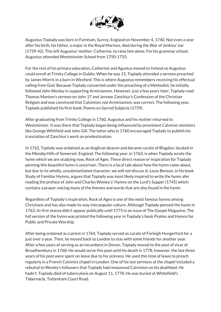

Augustus Toplady was born in Farnham, Surrey, England on November 4, 1740. Not even a year after his birth, his father, a major in the Royal Marines, died during the War of Jenkins' ear (1739-42). This left Augustus' mother, Catherine, to raise him alone. For his grammar school, Augustus attended Westminster School from 1750-1755.

For the rest of his primary education, Catherine and Agustus moved to Ireland so Augustus could enroll at Trinity College in Dublin. When he was 15, Toplady attended a sermon preached by James Morris in a barn in Wexford. This is where Augustus remembers receiving his effectual calling from God. Because Toplady converted under the preaching of a Methodist, he initially followed John Wesley in supporting Arminianism. However, just a few years later, Toplady read Thomas Manton's sermon on John 17 and Jerome Zanchius's Confession of the Christian Religion and was convinced that Calvinism, not Arminianism, was correct. The following year, Toplady published his first book, Poems on Sacred Subjects (1759).

After graduating from Trinity College in 1760, Augustus and his mother returned to Westminster. It was there that Toplady began being influenced by prominent Calvinist ministers like George Whitfield and John Gill. The latter who in 1760 encouraged Toplady to publish his translation of Zanchius's work on predestination.

In 1762, Toplady was ordained as an Anglican deacon and became curate of Blagdon, located in the Mendip Hills of Somerset, England. The following year, in 1763, is when Toplady wrote the hymn which we are studying now, Rock of Ages. There direct reason or inspiration for Toplady penning this beautiful hymn is uncertain. There is a local tale about how the hymn came about, but due to its wholly, unsubstantiated character, we will not discuss it. Louis Benson, in his book Study of Familiar Hymns, argues that Toplady was most likely inspired to write the hymn afer reading the preface of John and Charles Wesley's' Hymns on the Lord's Supper (1745) which contains a prayer voicing many of the themes and words that are also found in the hymn.

Regardless of Toplady's inspiration, Rock of Ages is one of the most famous hymns among Christians and has also made its way into popular culture. Although Toplady penned the hymn in 1763, its first stanza didn't appear publically until 1775 in an issue of The Gospel Magazine. The full version of the hymn was printed the following year in Toplady's book Psalms and Hymns for Public and Private Worship.

After being ordained as a priest in 1764, Toplady served as curate of Farleigh Hungerford for a just over a year. Then, he moved back to London to stay with some friends for another year. After a few years of serving as an incumbent in Devon, Toplady moved to the post of vicar of Broadhembury in 1768. He would serve this post until his death in 1778, however, the last three years of his post were spent on leave due to his sickness. He used this time of leave to preach regularly in a French Calvinist chapel in London. One of his last sermons at the chapel included a rebuttal to Wesley's followers that Toplady had renounced Calvinism on his deathbed. He hadn't. Toplady died of tuberculosis on August 11, 1778. He was buried at Whitefield's Tabernacle, Tottenham Court Road.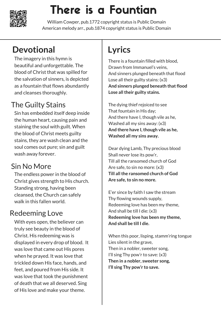

# There is a Fountian

There is a fountain filled with blood, Drawn from Immanuel's veins, And sinners plunged beneath that flood Lose all their guilty stains: (x3) **And sinners plunged beneath that flood** Lose all their guilty stains.

# **Lyrics**

Dear dying Lamb, Thy precious blood Shall never lose its pow'r, Till all the ransomed church of God Are safe, to sin no more: (x3) **Till allthe ransomed church of God** Are safe, to sin no more.

The dying thief rejoiced to see That fountain in His day; And there have I, though vile as he, Washed all my sins away: (x3) **And there have I,though vile as he, Washed all my sins away.**

E'er since by faith I saw the stream Thy flowing wounds supply, Redeeming love has been my theme, And shall be till I die: (x3) **Redeeming love has been my theme, And shall be till I die.**

When this poor, lisping, stamm'ring tongue Lies silent in the grave, Then in a nobler, sweeter song, I'll sing Thy pow'r to save: (x3) **Then in a nobler, sweeter song, I'll sing Thy pow'r to save.**

## **Devotional**

The imagery in this hymn is beautiful and unforgettable. The blood of Christ that was spilled for the salvation of sinners, is depicted as a fountain that flows abundantly and cleanses thoroughly.

Sin has embedded itself deep inside the human heart, causing pain and staining the soul with guilt. When the blood of Christ meets guilty stains, they are wash clean and the soul comes out pure; sin and guilt wash away forever.

The endless power in the blood of Christ gives strength to His church. Standing strong, having been cleansed, the Church can safely walk in this fallen world.

With eyes open, the believer can truly see beauty in the blood of Christ. His redeeming was is displayed in every drop of blood. It was love that came out His pores when he prayed. It was love that trickled down His face, hands, and feet, and poured from His side. It was love that took the punishment of death that we all deserved. Sing of His love and make your theme.

#### The Guilty Stains

#### Sin No More

#### Redeeming Love

William Cowper, pub.1772 copyright status is Public Domain American melody arr., pub.1874 copyright status is Public Domain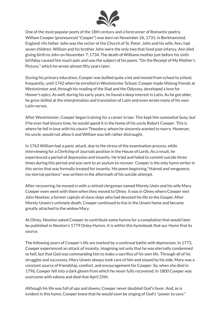

One of the most popular poets of the 18th century and a forerunner of Romantic poetry, William Cowper (pronounced "Cooper") was born on November 26, 1731, in Berkhamsted, England. His father John was the rector of the Church of St. Peter. John and his wife, Ann, had seven children. William and his brother John were the only two that lived past infancy. Ann died giving birth to John on November 7, 1734. The death of Williams mother just before his sixth birthday caused him much pain and was the subject of his poem, "On the Receipt of My Mother's Picture, " which he wrote almost fifty years later.

During his primary education, Cowper was bullied quite a lot and moved from school to school, frequently, until 1742 when he enrolled in Westminster School. Cowper made lifelong friends at Westminster and, through his reading of the Iliad and the Odyssey, developed a love for Homer's epics. As well, during his early years, he found a deep interest in Latin. As he got older, he grew skilled at the interpretation and translation of Latin and even wrote many of his own Latin verses.

After Westminster, Cowper began training for a career in law. This kept him somewhat busy, but if he ever had leisure time, he would spend it in the home of his uncle Robert Cowper. This is where he fell in love with his cousin Theodora, whom he sincerely wanted to marry. However, his uncle, would not allow it and William was left rather distraught.

In 1763 William had a panic attack, due to the stress of the examination process, while interviewing for a Clerkship of Journals position in the House of Lords. As a result, he experienced a period of depression and insanity. He tried and failed to commit suicide three times during this period and was sent to an asylum to recover. Cowper is the only hymn writer in

this series that was formally treated for insanity. His poem beginning "Hatred and vengeance, my eternal portions" was written in the aftermath of his suicide attempt.

After recovering, he moved in with a retired clergyman named Morely Uwin and his wife Mary. Cowper even went with them when they moved to Olney. It was in Olney where Cowper met John Newton, a former captain of slave ships who had devoted his life to the Gospel. After Morely Unwin's untimely death, Cowper continued to live in the Unwin home and became greatly attached to the widow Mary.

At Olney, Newton asked Cowper to contribute some hymns for a compilation that would later be published in Newton's 1779 Onley Hymns. It is within this hymnbook that our Hymn find its source.

The following years of Cowper's life are marked by a continual battle with depression. In 1773, Cowper experienced an attack of insanity, imagining not only that he was eternally condemned to hell, but that God was commanding him to make a sacrifice of his own life. Through all of his struggles and successes, Mary Unwin always took care of him and stayed by his side. Mary was a constant source of friendship, comfort, and encouragement for Cowper. So, when she died in 1796, Cowper fell into a dark gloom from which he never fully recovered. In 1800 Cowper was overcome with edema and died that April 25th.

Although his life was full of ups and downs, Cowper never doubted God's favor. And, as is evident in this hymn, Cowper knew that he would soon be singing of God's "power to save."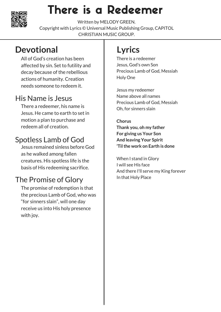

# There is a Redeemer

# **Lyrics**

There is a redeemer Jesus, God's own Son Precious Lamb of God, Messiah Holy One

Jesus my redeemer Name above all names Precious Lamb of God, Messiah Oh, for sinners slain

#### **Chorus Thank you, oh my father For giving us Your Son And leaving Your Spirit 'Tilthe work on Earth is done**

When I stand in Glory I will see His face

And there I'll serve my King forever In that Holy Place

### **Devotional**

All of God's creation has been affected by sin. Set to futility and decay because of the rebellious actions of humanity. Creation needs someone to redeem it.

There a redeemer, his name is Jesus. He came to earth to set in motion a plan to purchase and redeem all of creation.

Jesus remained sinless before God as he walked among fallen creatures. His spotless life is the basis of His redeeming sacrifice.

The promise of redemption is that the precious Lamb of God, who was "for sinners slain" , will one day receive us into His holy presence with joy.

#### His Name is Jesus

#### Spotless Lamb of God

#### The Promise of Glory

Written by MELODY GREEN. Copyright with Lyrics © Universal Music Publishing Group, CAPITOL CHRISTIAN MUSIC GROUP.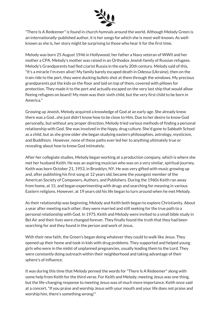

"There Is A Redeemer"is found in church hymnals around the world. Although Melody Green is an internationally-published author, it is her songs for which she is most well-known. As wellknown as she is, her story might be surprising to those who hear it for the first time.

Melody was born 25 August 1946 in Hollywood, her father a Navy veteran of WWII and her mother a CPA. Melody's mother was raised in an Orthodox Jewish family of Russian refugees. Melody's Grandparents had fled czarist Russia in the early 20th century. Melody said of this, "It's a miracle I'm even alive! My family barely escaped death in Odessa (Ukraine), then on the train ride to the port, they were ducking bullets shot at them through the windows. My precious grandparents put the kids on the floor and laid on top of them, covered with pillows for protection. They made it to the port and actually escaped on the very last ship that would allow fleeing refugees on board! My mom was their sixth child, but the very first child to be born in America."

Growing up Jewish, Melody acquired a knowledge of God at an early age. She already knew there was a God...she just didn't know how to be close to Him. Due to her desire to know God personally, but without any proper direction, Melody tried various methods of finding a personal relationship with God. She was involved in the hippy, drug culture. She'd gone to Sabbath School as a child, but as she grew older she began studying eastern philosophies, astrology, mysticism, and Buddhism. However, none of these paths ever led her to anything ultimately true or revealing about how to know God intimately.

After her collegiate studies, Melody began working at a production company, which is where she met her husband Keith. He was an aspiring musician who was on a very similar, spiritual journey.

Keith was born October 21, 1953, in Brooklyn, NY. He was very gifted with music growing up and, after publishing his first song at 12 years old, became the youngest member of the American Society of Composers, Authors, and Publishers. During the 1960s Keith ran away from home, at 15, and began experimenting with drugs and searching for meaning in various Eastern religions. However, at 19 years old his life began to turn around when he met Melody.

As their relationship was beginning, Melody and Keith both began to explore Christianity. About a year after meeting each other, they were married and still seeking for the true path to a personal relationship with God. In 1975, Keith and Melody were invited to a small bible study in Bel Air and their lives were changed forever. They finally found the truth that they had been searching for and they found in the person and work of Jesus.

With their new faith, the Green's began doing whatever they could to walk like Jesus. They opened up their home and took in kids with drug problems. They supported and helped young girls who were in the midst of unplanned pregnancies, usually leading them to the Lord. They were constantly doing outreach within their neighborhood and taking advantage of their sphere's of influence.

It was during this time that Melody penned the words for "There Is A Redeemer" along with some help from Keith for the third verse. For Keith and Melody, meeting Jesus was one thing, but the life-changing response to meeting Jesus was of much more importance. Keith once said at a concert, "If you praise and worship Jesus with your mouth and your life does not praise and worship him, there's something wrong!"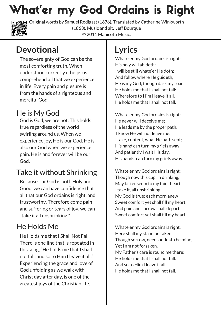# What' er my God Ordains is Right



# **Lyrics**

Whate'er my God ordains is right: His holy will abideth; I will be still whate'er He doth; And follow where He guideth; He is my God; though dark my road, He holds me that I shall not fall: Wherefore to Him I leave it all. He holds me that I shall not fall.

Whate'er my God ordains is right: He never will deceive me; He leads me by the proper path: I know He will not leave me. I take, content, what He hath sent; His hand can turn my griefs away, And patiently I wait His day. His hands can turn my griefs away.

Whate'er my God ordains is right: Though now this cup, in drinking, May bitter seem to my faint heart, I take it, all unshrinking. My God is true; each morn anew Sweet comfort yet shall fill my heart, And pain and sorrow shall depart. Sweet comfort yet shall fill my heart.

Whate'er my God ordains is right: Here shall my stand be taken; Though sorrow, need, or death be mine, Yet I am not forsaken. My Father's care is round me there; He holds me that I shall not fall: And so to Him I leave it all. He holds me that I shall not fall.

### **Devotional**

The sovereignty of God can be the most comforting truth. When understood correctly it helps us comprehend all that we experience in life. Every pain and plesure is from the hands of a righteous and merciful God.

God is God, we are not. This holds true regardless of the world swirling around us. When we experience joy, He is our God. He is also our God when we experience pain. He is and forever will be our God.

Because our God is both Holy and Good, we can have confidence that all that our God ordains is right, and trustworthy. Therefore come pain and suffering or tears of joy, we can "take it all unshrinking."

He Holds me that I Shall Not Fall There is one line that is repeated in this song, "He holds me that I shall not fall, and so to Him I leave it all." Experiencing the grace and love of God unfolding as we walk with Christ day after day, is one of the greatest joys of the Christian life.

#### He is My God

### Take it without Shrinking

#### He Holds Me

Original words by Samuel Rodigast (1676). Translated by Catherine Winkworth

(1863). Music and alt. Jeff Bourque © 2011 Manicotti Music.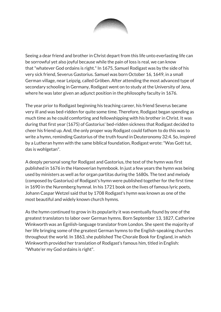

Seeing a dear friend and brother in Christ depart from this life unto everlasting life can be sorrowful yet also joyful because while the pain of loss is real, we can know that "whatever God ordains is right." In 1675, Samuel Rodigast was by the side of his very sick friend, Severus Gastorius. Samuel was born October 16, 1649, in a small German village, near Leipzig, called Gröben. After attending the most advanced type of secondary schooling in Germany, Rodigast went on to study at the University of Jena, where he was later given an adjunct position in the philosophy faculty in 1676.

The year prior to Rodigast beginning his teaching career, his friend Severus became very ill and was bed-ridden for quite some time. Therefore, Rodigast began spending as much time as he could comforting and fellowshipping with his brother in Christ. It was during that first year (1675) of Gastorius' bed-ridden sickness that Rodigast decided to cheer his friend up. And, the only proper way Rodigast could fathom to do this was to write a hymn, reminding Gastorius of the truth found in Deuteronomy 32:4. So, inspired by a Lutheran hymn with the same biblical foundation, Rodigast wrote:"Was Gott tut, das is wohlgetan".

A deeply personal song for Rodigast and Gastorius, the text of the hymn was first published in 1676 in the Hanoverian hymnbook. In just a few years the hymn was being used by ministers as well as for organ partitas during the 1680s. The text and melody (composed by Gastorius) of Rodigast's hymn were published together for the first time in 1690 in the Nuremberg hymnal. In his 1721 book on the lives of famous lyric poets, Johann Caspar Wetzel said that by 1708 Rodigast's hymn was known as one of the most beautiful and widely known church hymns.

As the hymn continued to grow in its popularity it was eventually found by one of the greatest translators to labor over German hymns. Born September 13, 1827, Catherine Winkworth was an Egnlish-language translator from London. She spent the majority of her life bringing some of the greatest German hymns to the English-speaking churches throughout the world. In 1863, she published The Chorale Book for England, in which Winkworth provided her translation of Rodigast's famous him, titled in English: "Whate'er my God ordains is right".